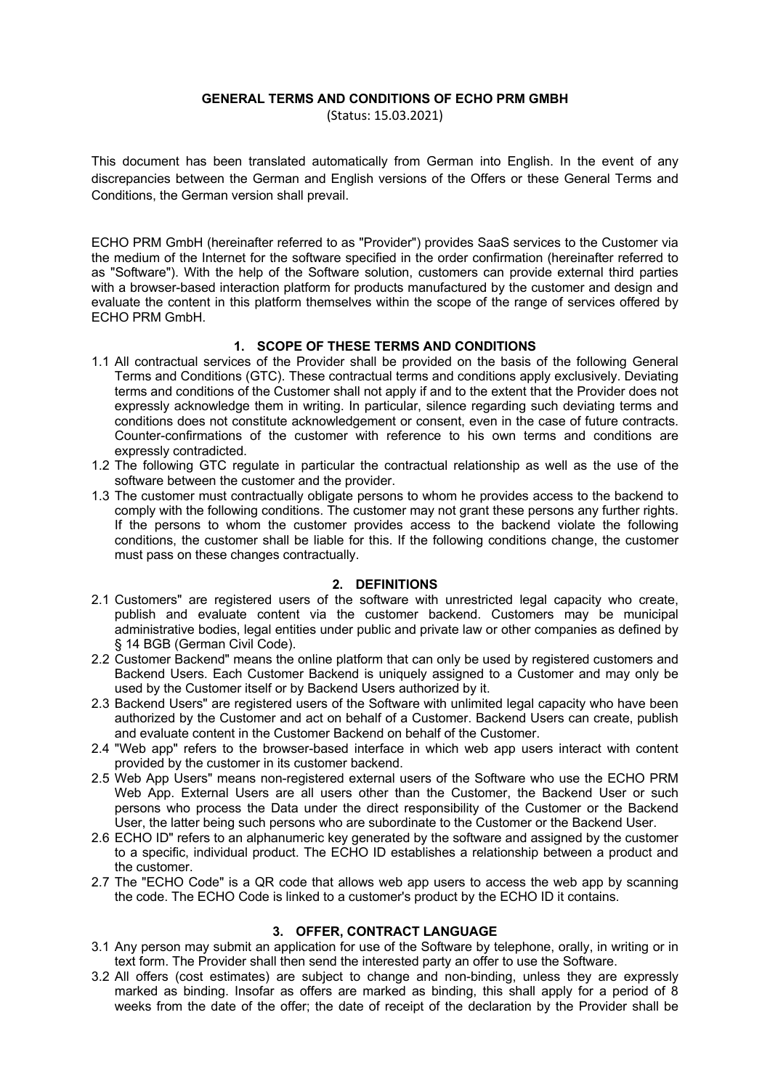#### **GENERAL TERMS AND CONDITIONS OF ECHO PRM GMBH**  (Status: 15.03.2021)

This document has been translated automatically from German into English. In the event of any discrepancies between the German and English versions of the Offers or these General Terms and Conditions, the German version shall prevail.

ECHO PRM GmbH (hereinafter referred to as "Provider") provides SaaS services to the Customer via the medium of the Internet for the software specified in the order confirmation (hereinafter referred to as "Software"). With the help of the Software solution, customers can provide external third parties with a browser-based interaction platform for products manufactured by the customer and design and evaluate the content in this platform themselves within the scope of the range of services offered by ECHO PRM GmbH.

## **1. SCOPE OF THESE TERMS AND CONDITIONS**

- 1.1 All contractual services of the Provider shall be provided on the basis of the following General Terms and Conditions (GTC). These contractual terms and conditions apply exclusively. Deviating terms and conditions of the Customer shall not apply if and to the extent that the Provider does not expressly acknowledge them in writing. In particular, silence regarding such deviating terms and conditions does not constitute acknowledgement or consent, even in the case of future contracts. Counter-confirmations of the customer with reference to his own terms and conditions are expressly contradicted.
- 1.2 The following GTC regulate in particular the contractual relationship as well as the use of the software between the customer and the provider.
- 1.3 The customer must contractually obligate persons to whom he provides access to the backend to comply with the following conditions. The customer may not grant these persons any further rights. If the persons to whom the customer provides access to the backend violate the following conditions, the customer shall be liable for this. If the following conditions change, the customer must pass on these changes contractually.

## **2. DEFINITIONS**

- 2.1 Customers" are registered users of the software with unrestricted legal capacity who create, publish and evaluate content via the customer backend. Customers may be municipal administrative bodies, legal entities under public and private law or other companies as defined by § 14 BGB (German Civil Code).
- 2.2 Customer Backend" means the online platform that can only be used by registered customers and Backend Users. Each Customer Backend is uniquely assigned to a Customer and may only be used by the Customer itself or by Backend Users authorized by it.
- 2.3 Backend Users" are registered users of the Software with unlimited legal capacity who have been authorized by the Customer and act on behalf of a Customer. Backend Users can create, publish and evaluate content in the Customer Backend on behalf of the Customer.
- 2.4 "Web app" refers to the browser-based interface in which web app users interact with content provided by the customer in its customer backend.
- 2.5 Web App Users" means non-registered external users of the Software who use the ECHO PRM Web App. External Users are all users other than the Customer, the Backend User or such persons who process the Data under the direct responsibility of the Customer or the Backend User, the latter being such persons who are subordinate to the Customer or the Backend User.
- 2.6 ECHO ID" refers to an alphanumeric key generated by the software and assigned by the customer to a specific, individual product. The ECHO ID establishes a relationship between a product and the customer.
- 2.7 The "ECHO Code" is a QR code that allows web app users to access the web app by scanning the code. The ECHO Code is linked to a customer's product by the ECHO ID it contains.

## **3. OFFER, CONTRACT LANGUAGE**

- 3.1 Any person may submit an application for use of the Software by telephone, orally, in writing or in text form. The Provider shall then send the interested party an offer to use the Software.
- 3.2 All offers (cost estimates) are subject to change and non-binding, unless they are expressly marked as binding. Insofar as offers are marked as binding, this shall apply for a period of 8 weeks from the date of the offer; the date of receipt of the declaration by the Provider shall be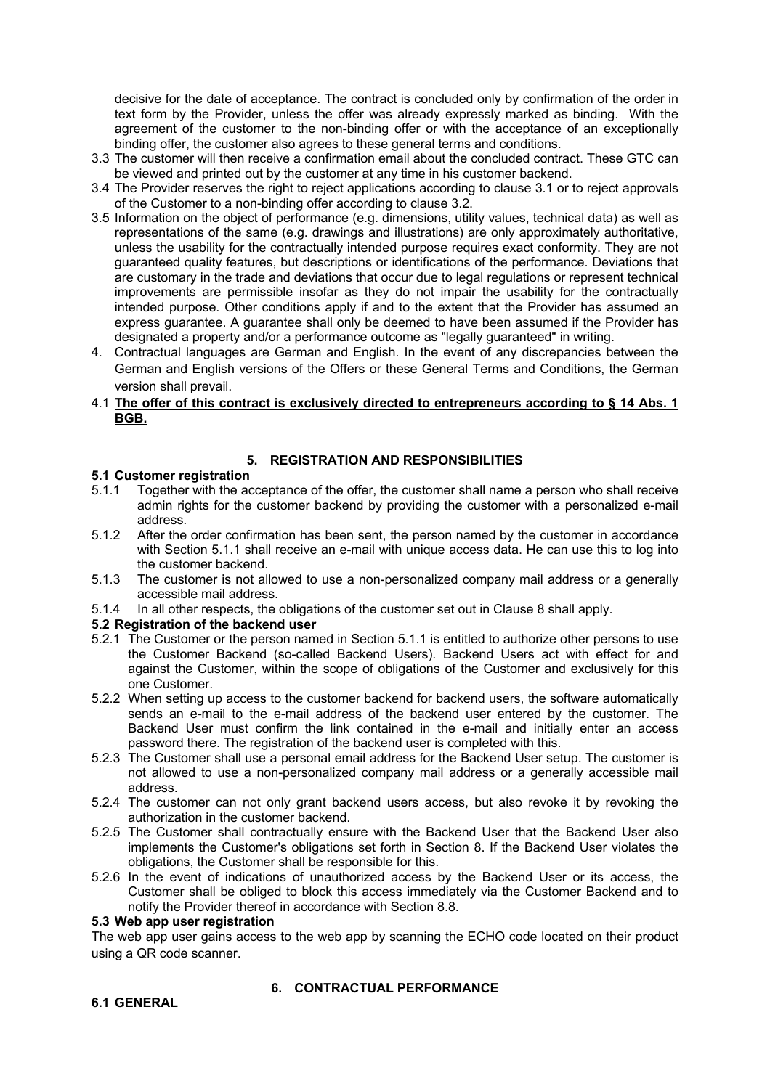decisive for the date of acceptance. The contract is concluded only by confirmation of the order in text form by the Provider, unless the offer was already expressly marked as binding. With the agreement of the customer to the non-binding offer or with the acceptance of an exceptionally binding offer, the customer also agrees to these general terms and conditions.

- 3.3 The customer will then receive a confirmation email about the concluded contract. These GTC can be viewed and printed out by the customer at any time in his customer backend.
- 3.4 The Provider reserves the right to reject applications according to clause 3.1 or to reject approvals of the Customer to a non-binding offer according to clause 3.2.
- 3.5 Information on the object of performance (e.g. dimensions, utility values, technical data) as well as representations of the same (e.g. drawings and illustrations) are only approximately authoritative, unless the usability for the contractually intended purpose requires exact conformity. They are not guaranteed quality features, but descriptions or identifications of the performance. Deviations that are customary in the trade and deviations that occur due to legal regulations or represent technical improvements are permissible insofar as they do not impair the usability for the contractually intended purpose. Other conditions apply if and to the extent that the Provider has assumed an express guarantee. A guarantee shall only be deemed to have been assumed if the Provider has designated a property and/or a performance outcome as "legally guaranteed" in writing.
- 4. Contractual languages are German and English. In the event of any discrepancies between the German and English versions of the Offers or these General Terms and Conditions, the German version shall prevail.
- 4.1 **The offer of this contract is exclusively directed to entrepreneurs according to § 14 Abs. 1 BGB.**

## **5. REGISTRATION AND RESPONSIBILITIES**

## **5.1 Customer registration**

- 5.1.1 Together with the acceptance of the offer, the customer shall name a person who shall receive admin rights for the customer backend by providing the customer with a personalized e-mail address.
- 5.1.2 After the order confirmation has been sent, the person named by the customer in accordance with Section 5.1.1 shall receive an e-mail with unique access data. He can use this to log into the customer backend.
- 5.1.3 The customer is not allowed to use a non-personalized company mail address or a generally accessible mail address.
- 5.1.4 In all other respects, the obligations of the customer set out in Clause 8 shall apply.

## **5.2 Registration of the backend user**

- 5.2.1 The Customer or the person named in Section 5.1.1 is entitled to authorize other persons to use the Customer Backend (so-called Backend Users). Backend Users act with effect for and against the Customer, within the scope of obligations of the Customer and exclusively for this one Customer.
- 5.2.2 When setting up access to the customer backend for backend users, the software automatically sends an e-mail to the e-mail address of the backend user entered by the customer. The Backend User must confirm the link contained in the e-mail and initially enter an access password there. The registration of the backend user is completed with this.
- 5.2.3 The Customer shall use a personal email address for the Backend User setup. The customer is not allowed to use a non-personalized company mail address or a generally accessible mail address.
- 5.2.4 The customer can not only grant backend users access, but also revoke it by revoking the authorization in the customer backend.
- 5.2.5 The Customer shall contractually ensure with the Backend User that the Backend User also implements the Customer's obligations set forth in Section 8. If the Backend User violates the obligations, the Customer shall be responsible for this.
- 5.2.6 In the event of indications of unauthorized access by the Backend User or its access, the Customer shall be obliged to block this access immediately via the Customer Backend and to notify the Provider thereof in accordance with Section 8.8.

#### **5.3 Web app user registration**

The web app user gains access to the web app by scanning the ECHO code located on their product using a QR code scanner.

# **6. CONTRACTUAL PERFORMANCE**

# **6.1 GENERAL**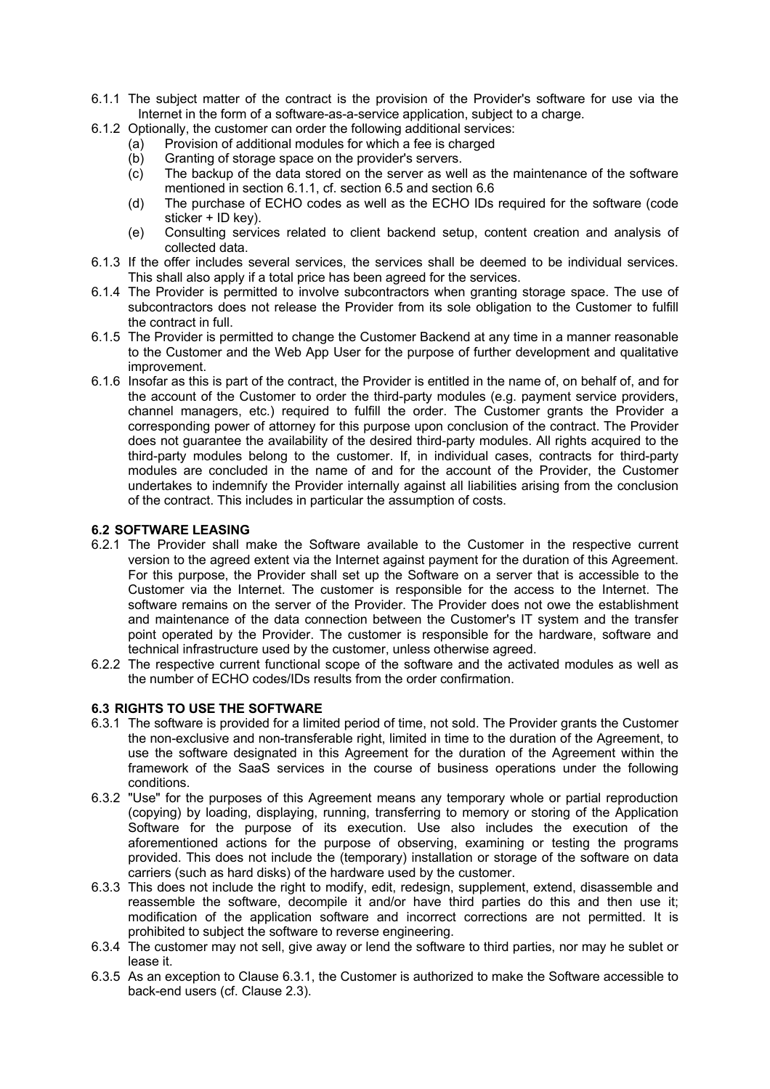- 6.1.1 The subject matter of the contract is the provision of the Provider's software for use via the Internet in the form of a software-as-a-service application, subject to a charge.
- 6.1.2 Optionally, the customer can order the following additional services:
	- (a) Provision of additional modules for which a fee is charged
	- (b) Granting of storage space on the provider's servers.
	- (c) The backup of the data stored on the server as well as the maintenance of the software mentioned in section 6.1.1, cf. section 6.5 and section 6.6
	- (d) The purchase of ECHO codes as well as the ECHO IDs required for the software (code sticker + ID key).
	- (e) Consulting services related to client backend setup, content creation and analysis of collected data.
- 6.1.3 If the offer includes several services, the services shall be deemed to be individual services. This shall also apply if a total price has been agreed for the services.
- 6.1.4 The Provider is permitted to involve subcontractors when granting storage space. The use of subcontractors does not release the Provider from its sole obligation to the Customer to fulfill the contract in full.
- 6.1.5 The Provider is permitted to change the Customer Backend at any time in a manner reasonable to the Customer and the Web App User for the purpose of further development and qualitative improvement.
- 6.1.6 Insofar as this is part of the contract, the Provider is entitled in the name of, on behalf of, and for the account of the Customer to order the third-party modules (e.g. payment service providers, channel managers, etc.) required to fulfill the order. The Customer grants the Provider a corresponding power of attorney for this purpose upon conclusion of the contract. The Provider does not guarantee the availability of the desired third-party modules. All rights acquired to the third-party modules belong to the customer. If, in individual cases, contracts for third-party modules are concluded in the name of and for the account of the Provider, the Customer undertakes to indemnify the Provider internally against all liabilities arising from the conclusion of the contract. This includes in particular the assumption of costs.

# **6.2 SOFTWARE LEASING**

- 6.2.1 The Provider shall make the Software available to the Customer in the respective current version to the agreed extent via the Internet against payment for the duration of this Agreement. For this purpose, the Provider shall set up the Software on a server that is accessible to the Customer via the Internet. The customer is responsible for the access to the Internet. The software remains on the server of the Provider. The Provider does not owe the establishment and maintenance of the data connection between the Customer's IT system and the transfer point operated by the Provider. The customer is responsible for the hardware, software and technical infrastructure used by the customer, unless otherwise agreed.
- 6.2.2 The respective current functional scope of the software and the activated modules as well as the number of ECHO codes/IDs results from the order confirmation.

## **6.3 RIGHTS TO USE THE SOFTWARE**

- 6.3.1 The software is provided for a limited period of time, not sold. The Provider grants the Customer the non-exclusive and non-transferable right, limited in time to the duration of the Agreement, to use the software designated in this Agreement for the duration of the Agreement within the framework of the SaaS services in the course of business operations under the following conditions.
- 6.3.2 "Use" for the purposes of this Agreement means any temporary whole or partial reproduction (copying) by loading, displaying, running, transferring to memory or storing of the Application Software for the purpose of its execution. Use also includes the execution of the aforementioned actions for the purpose of observing, examining or testing the programs provided. This does not include the (temporary) installation or storage of the software on data carriers (such as hard disks) of the hardware used by the customer.
- 6.3.3 This does not include the right to modify, edit, redesign, supplement, extend, disassemble and reassemble the software, decompile it and/or have third parties do this and then use it; modification of the application software and incorrect corrections are not permitted. It is prohibited to subject the software to reverse engineering.
- 6.3.4 The customer may not sell, give away or lend the software to third parties, nor may he sublet or lease it.
- 6.3.5 As an exception to Clause 6.3.1, the Customer is authorized to make the Software accessible to back-end users (cf. Clause 2.3).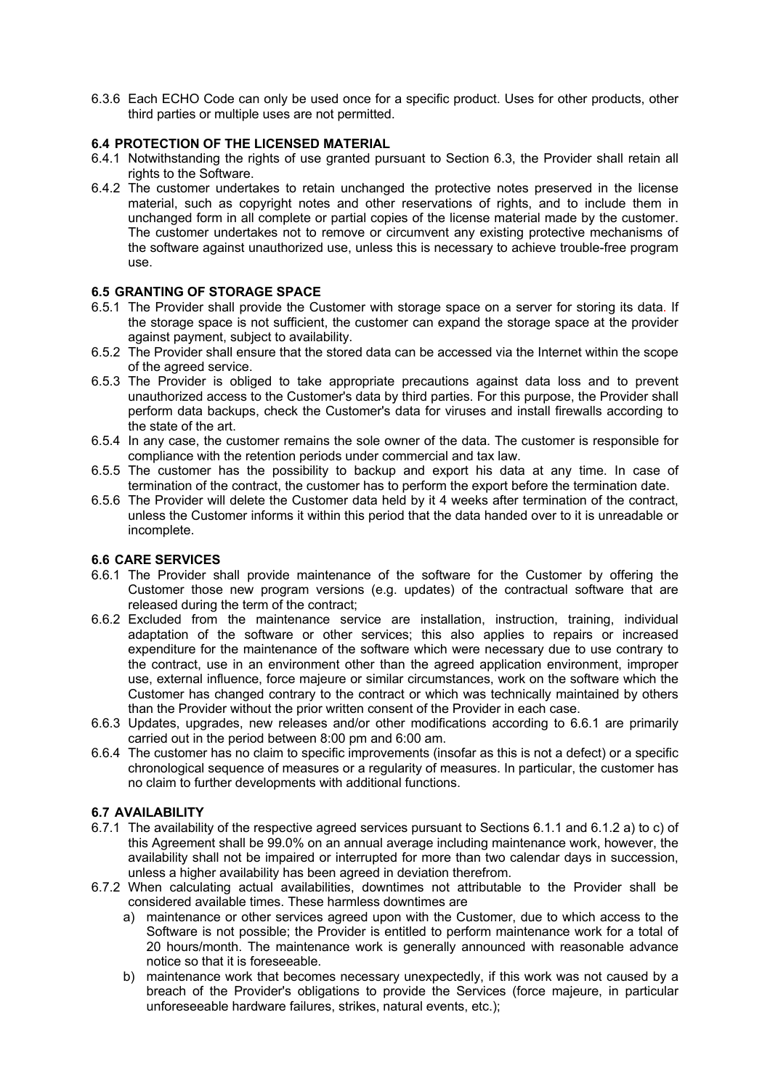6.3.6 Each ECHO Code can only be used once for a specific product. Uses for other products, other third parties or multiple uses are not permitted.

## **6.4 PROTECTION OF THE LICENSED MATERIAL**

- 6.4.1 Notwithstanding the rights of use granted pursuant to Section 6.3, the Provider shall retain all rights to the Software.
- 6.4.2 The customer undertakes to retain unchanged the protective notes preserved in the license material, such as copyright notes and other reservations of rights, and to include them in unchanged form in all complete or partial copies of the license material made by the customer. The customer undertakes not to remove or circumvent any existing protective mechanisms of the software against unauthorized use, unless this is necessary to achieve trouble-free program use.

# **6.5 GRANTING OF STORAGE SPACE**

- 6.5.1 The Provider shall provide the Customer with storage space on a server for storing its data. If the storage space is not sufficient, the customer can expand the storage space at the provider against payment, subject to availability.
- 6.5.2 The Provider shall ensure that the stored data can be accessed via the Internet within the scope of the agreed service.
- 6.5.3 The Provider is obliged to take appropriate precautions against data loss and to prevent unauthorized access to the Customer's data by third parties. For this purpose, the Provider shall perform data backups, check the Customer's data for viruses and install firewalls according to the state of the art.
- 6.5.4 In any case, the customer remains the sole owner of the data. The customer is responsible for compliance with the retention periods under commercial and tax law.
- 6.5.5 The customer has the possibility to backup and export his data at any time. In case of termination of the contract, the customer has to perform the export before the termination date.
- 6.5.6 The Provider will delete the Customer data held by it 4 weeks after termination of the contract, unless the Customer informs it within this period that the data handed over to it is unreadable or incomplete.

## **6.6 CARE SERVICES**

- 6.6.1 The Provider shall provide maintenance of the software for the Customer by offering the Customer those new program versions (e.g. updates) of the contractual software that are released during the term of the contract;
- 6.6.2 Excluded from the maintenance service are installation, instruction, training, individual adaptation of the software or other services; this also applies to repairs or increased expenditure for the maintenance of the software which were necessary due to use contrary to the contract, use in an environment other than the agreed application environment, improper use, external influence, force majeure or similar circumstances, work on the software which the Customer has changed contrary to the contract or which was technically maintained by others than the Provider without the prior written consent of the Provider in each case.
- 6.6.3 Updates, upgrades, new releases and/or other modifications according to 6.6.1 are primarily carried out in the period between 8:00 pm and 6:00 am.
- 6.6.4 The customer has no claim to specific improvements (insofar as this is not a defect) or a specific chronological sequence of measures or a regularity of measures. In particular, the customer has no claim to further developments with additional functions.

# **6.7 AVAILABILITY**

- 6.7.1 The availability of the respective agreed services pursuant to Sections 6.1.1 and 6.1.2 a) to c) of this Agreement shall be 99.0% on an annual average including maintenance work, however, the availability shall not be impaired or interrupted for more than two calendar days in succession, unless a higher availability has been agreed in deviation therefrom.
- 6.7.2 When calculating actual availabilities, downtimes not attributable to the Provider shall be considered available times. These harmless downtimes are
	- a) maintenance or other services agreed upon with the Customer, due to which access to the Software is not possible; the Provider is entitled to perform maintenance work for a total of 20 hours/month. The maintenance work is generally announced with reasonable advance notice so that it is foreseeable.
	- b) maintenance work that becomes necessary unexpectedly, if this work was not caused by a breach of the Provider's obligations to provide the Services (force majeure, in particular unforeseeable hardware failures, strikes, natural events, etc.);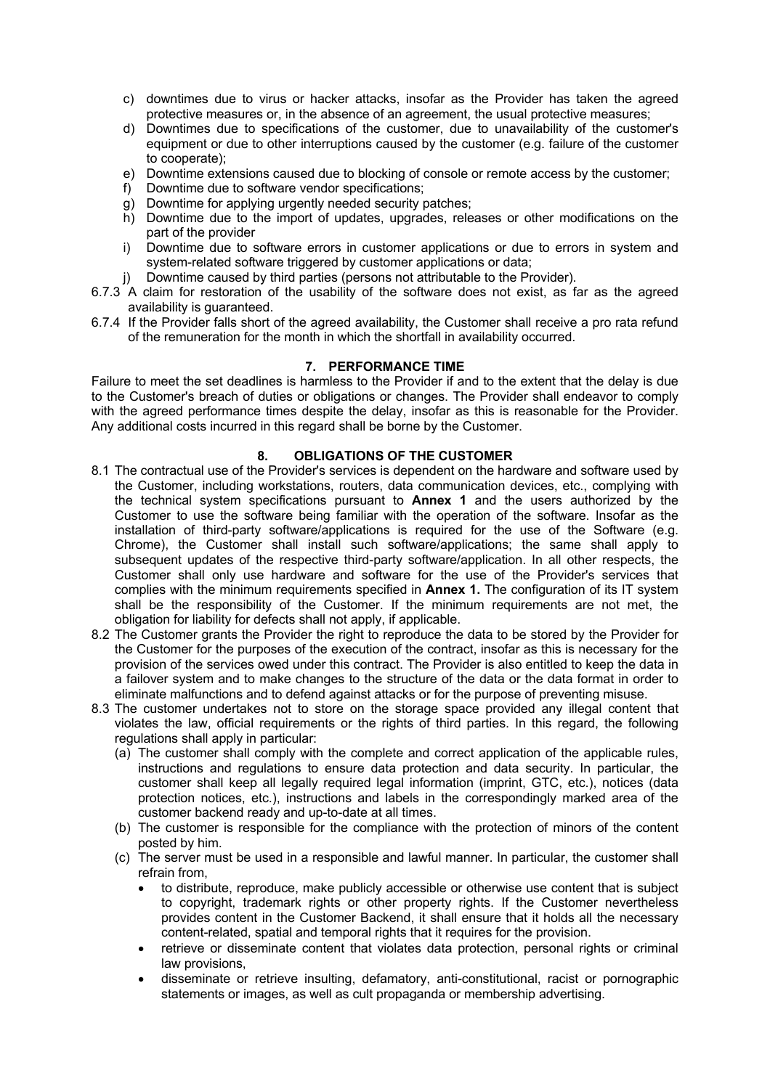- c) downtimes due to virus or hacker attacks, insofar as the Provider has taken the agreed protective measures or, in the absence of an agreement, the usual protective measures;
- d) Downtimes due to specifications of the customer, due to unavailability of the customer's equipment or due to other interruptions caused by the customer (e.g. failure of the customer to cooperate);
- e) Downtime extensions caused due to blocking of console or remote access by the customer;
- f) Downtime due to software vendor specifications;
- g) Downtime for applying urgently needed security patches;
- h) Downtime due to the import of updates, upgrades, releases or other modifications on the part of the provider
- i) Downtime due to software errors in customer applications or due to errors in system and system-related software triggered by customer applications or data;
- j) Downtime caused by third parties (persons not attributable to the Provider).
- 6.7.3 A claim for restoration of the usability of the software does not exist, as far as the agreed availability is guaranteed.
- 6.7.4 If the Provider falls short of the agreed availability, the Customer shall receive a pro rata refund of the remuneration for the month in which the shortfall in availability occurred.

## **7. PERFORMANCE TIME**

Failure to meet the set deadlines is harmless to the Provider if and to the extent that the delay is due to the Customer's breach of duties or obligations or changes. The Provider shall endeavor to comply with the agreed performance times despite the delay, insofar as this is reasonable for the Provider. Any additional costs incurred in this regard shall be borne by the Customer.

## **8. OBLIGATIONS OF THE CUSTOMER**

- 8.1 The contractual use of the Provider's services is dependent on the hardware and software used by the Customer, including workstations, routers, data communication devices, etc., complying with the technical system specifications pursuant to **Annex 1** and the users authorized by the Customer to use the software being familiar with the operation of the software. Insofar as the installation of third-party software/applications is required for the use of the Software (e.g. Chrome), the Customer shall install such software/applications; the same shall apply to subsequent updates of the respective third-party software/application. In all other respects, the Customer shall only use hardware and software for the use of the Provider's services that complies with the minimum requirements specified in **Annex 1.** The configuration of its IT system shall be the responsibility of the Customer. If the minimum requirements are not met, the obligation for liability for defects shall not apply, if applicable.
- 8.2 The Customer grants the Provider the right to reproduce the data to be stored by the Provider for the Customer for the purposes of the execution of the contract, insofar as this is necessary for the provision of the services owed under this contract. The Provider is also entitled to keep the data in a failover system and to make changes to the structure of the data or the data format in order to eliminate malfunctions and to defend against attacks or for the purpose of preventing misuse.
- 8.3 The customer undertakes not to store on the storage space provided any illegal content that violates the law, official requirements or the rights of third parties. In this regard, the following regulations shall apply in particular:
	- (a) The customer shall comply with the complete and correct application of the applicable rules, instructions and regulations to ensure data protection and data security. In particular, the customer shall keep all legally required legal information (imprint, GTC, etc.), notices (data protection notices, etc.), instructions and labels in the correspondingly marked area of the customer backend ready and up-to-date at all times.
	- (b) The customer is responsible for the compliance with the protection of minors of the content posted by him.
	- (c) The server must be used in a responsible and lawful manner. In particular, the customer shall refrain from,
		- to distribute, reproduce, make publicly accessible or otherwise use content that is subject to copyright, trademark rights or other property rights. If the Customer nevertheless provides content in the Customer Backend, it shall ensure that it holds all the necessary content-related, spatial and temporal rights that it requires for the provision.
		- retrieve or disseminate content that violates data protection, personal rights or criminal law provisions,
		- disseminate or retrieve insulting, defamatory, anti-constitutional, racist or pornographic statements or images, as well as cult propaganda or membership advertising.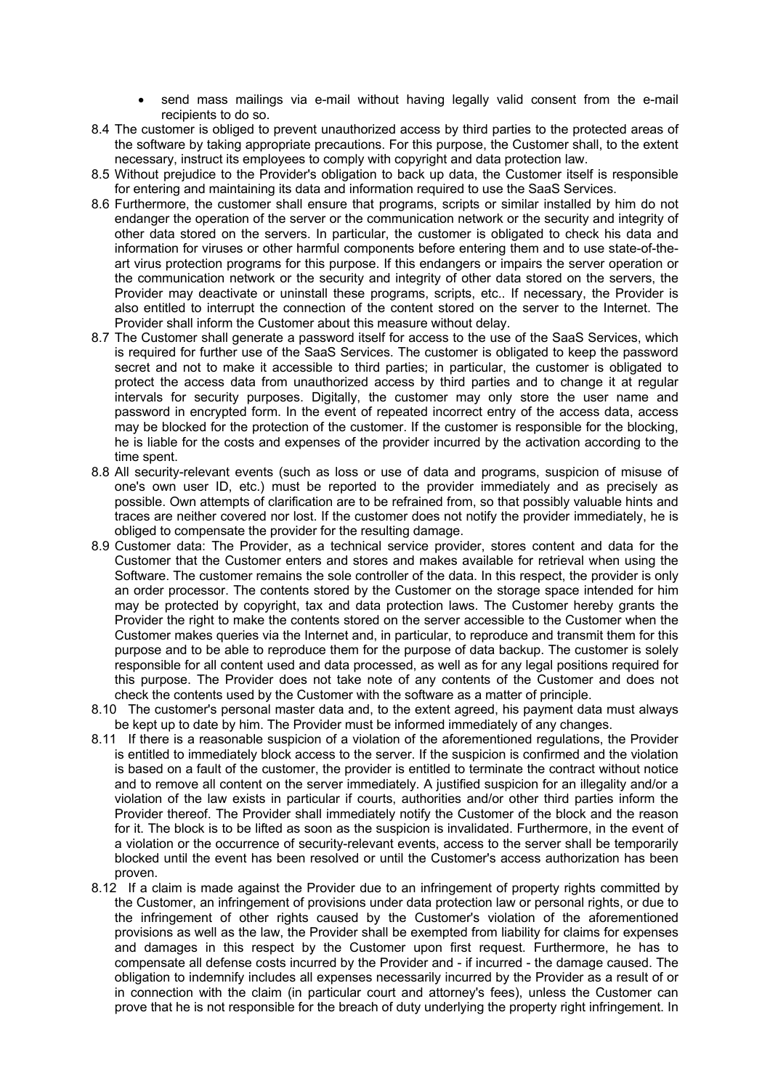- send mass mailings via e-mail without having legally valid consent from the e-mail recipients to do so.
- 8.4 The customer is obliged to prevent unauthorized access by third parties to the protected areas of the software by taking appropriate precautions. For this purpose, the Customer shall, to the extent necessary, instruct its employees to comply with copyright and data protection law.
- 8.5 Without prejudice to the Provider's obligation to back up data, the Customer itself is responsible for entering and maintaining its data and information required to use the SaaS Services.
- 8.6 Furthermore, the customer shall ensure that programs, scripts or similar installed by him do not endanger the operation of the server or the communication network or the security and integrity of other data stored on the servers. In particular, the customer is obligated to check his data and information for viruses or other harmful components before entering them and to use state-of-theart virus protection programs for this purpose. If this endangers or impairs the server operation or the communication network or the security and integrity of other data stored on the servers, the Provider may deactivate or uninstall these programs, scripts, etc.. If necessary, the Provider is also entitled to interrupt the connection of the content stored on the server to the Internet. The Provider shall inform the Customer about this measure without delay.
- 8.7 The Customer shall generate a password itself for access to the use of the SaaS Services, which is required for further use of the SaaS Services. The customer is obligated to keep the password secret and not to make it accessible to third parties; in particular, the customer is obligated to protect the access data from unauthorized access by third parties and to change it at regular intervals for security purposes. Digitally, the customer may only store the user name and password in encrypted form. In the event of repeated incorrect entry of the access data, access may be blocked for the protection of the customer. If the customer is responsible for the blocking, he is liable for the costs and expenses of the provider incurred by the activation according to the time spent.
- 8.8 All security-relevant events (such as loss or use of data and programs, suspicion of misuse of one's own user ID, etc.) must be reported to the provider immediately and as precisely as possible. Own attempts of clarification are to be refrained from, so that possibly valuable hints and traces are neither covered nor lost. If the customer does not notify the provider immediately, he is obliged to compensate the provider for the resulting damage.
- 8.9 Customer data: The Provider, as a technical service provider, stores content and data for the Customer that the Customer enters and stores and makes available for retrieval when using the Software. The customer remains the sole controller of the data. In this respect, the provider is only an order processor. The contents stored by the Customer on the storage space intended for him may be protected by copyright, tax and data protection laws. The Customer hereby grants the Provider the right to make the contents stored on the server accessible to the Customer when the Customer makes queries via the Internet and, in particular, to reproduce and transmit them for this purpose and to be able to reproduce them for the purpose of data backup. The customer is solely responsible for all content used and data processed, as well as for any legal positions required for this purpose. The Provider does not take note of any contents of the Customer and does not check the contents used by the Customer with the software as a matter of principle.
- 8.10 The customer's personal master data and, to the extent agreed, his payment data must always be kept up to date by him. The Provider must be informed immediately of any changes.
- 8.11 If there is a reasonable suspicion of a violation of the aforementioned regulations, the Provider is entitled to immediately block access to the server. If the suspicion is confirmed and the violation is based on a fault of the customer, the provider is entitled to terminate the contract without notice and to remove all content on the server immediately. A justified suspicion for an illegality and/or a violation of the law exists in particular if courts, authorities and/or other third parties inform the Provider thereof. The Provider shall immediately notify the Customer of the block and the reason for it. The block is to be lifted as soon as the suspicion is invalidated. Furthermore, in the event of a violation or the occurrence of security-relevant events, access to the server shall be temporarily blocked until the event has been resolved or until the Customer's access authorization has been proven.
- 8.12 If a claim is made against the Provider due to an infringement of property rights committed by the Customer, an infringement of provisions under data protection law or personal rights, or due to the infringement of other rights caused by the Customer's violation of the aforementioned provisions as well as the law, the Provider shall be exempted from liability for claims for expenses and damages in this respect by the Customer upon first request. Furthermore, he has to compensate all defense costs incurred by the Provider and - if incurred - the damage caused. The obligation to indemnify includes all expenses necessarily incurred by the Provider as a result of or in connection with the claim (in particular court and attorney's fees), unless the Customer can prove that he is not responsible for the breach of duty underlying the property right infringement. In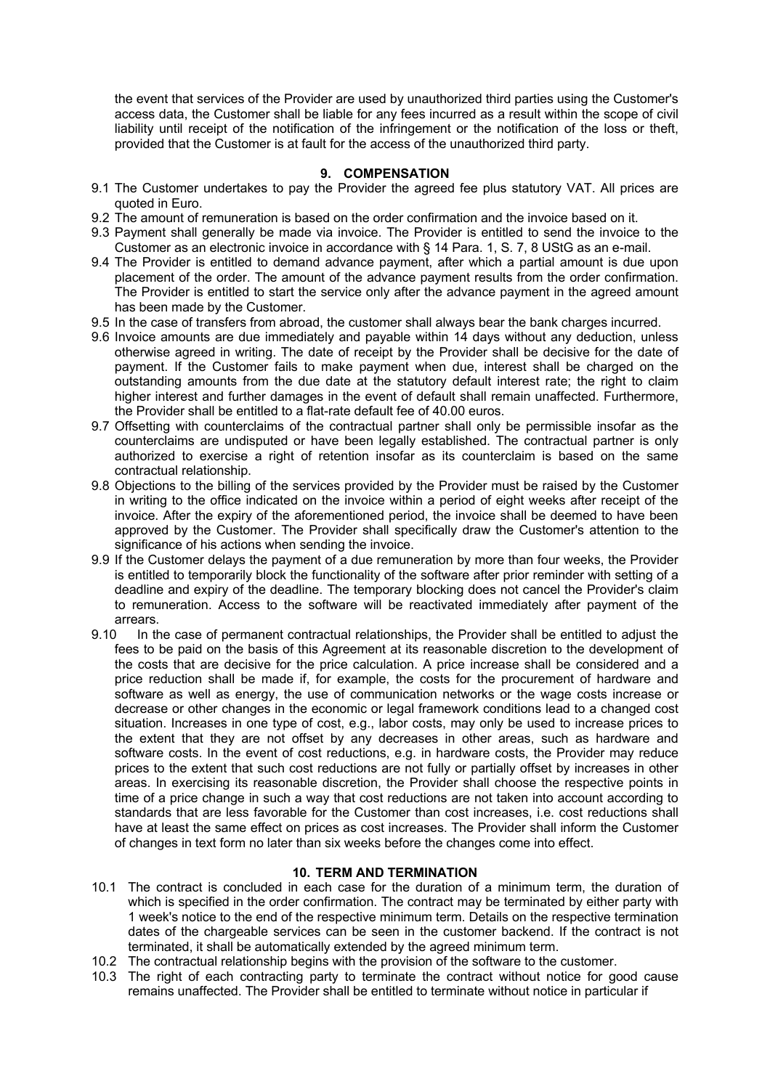the event that services of the Provider are used by unauthorized third parties using the Customer's access data, the Customer shall be liable for any fees incurred as a result within the scope of civil liability until receipt of the notification of the infringement or the notification of the loss or theft, provided that the Customer is at fault for the access of the unauthorized third party.

#### **9. COMPENSATION**

- 9.1 The Customer undertakes to pay the Provider the agreed fee plus statutory VAT. All prices are quoted in Euro.
- 9.2 The amount of remuneration is based on the order confirmation and the invoice based on it.
- 9.3 Payment shall generally be made via invoice. The Provider is entitled to send the invoice to the Customer as an electronic invoice in accordance with § 14 Para. 1, S. 7, 8 UStG as an e-mail.
- 9.4 The Provider is entitled to demand advance payment, after which a partial amount is due upon placement of the order. The amount of the advance payment results from the order confirmation. The Provider is entitled to start the service only after the advance payment in the agreed amount has been made by the Customer.
- 9.5 In the case of transfers from abroad, the customer shall always bear the bank charges incurred.
- 9.6 Invoice amounts are due immediately and payable within 14 days without any deduction, unless otherwise agreed in writing. The date of receipt by the Provider shall be decisive for the date of payment. If the Customer fails to make payment when due, interest shall be charged on the outstanding amounts from the due date at the statutory default interest rate; the right to claim higher interest and further damages in the event of default shall remain unaffected. Furthermore, the Provider shall be entitled to a flat-rate default fee of 40.00 euros.
- 9.7 Offsetting with counterclaims of the contractual partner shall only be permissible insofar as the counterclaims are undisputed or have been legally established. The contractual partner is only authorized to exercise a right of retention insofar as its counterclaim is based on the same contractual relationship.
- 9.8 Objections to the billing of the services provided by the Provider must be raised by the Customer in writing to the office indicated on the invoice within a period of eight weeks after receipt of the invoice. After the expiry of the aforementioned period, the invoice shall be deemed to have been approved by the Customer. The Provider shall specifically draw the Customer's attention to the significance of his actions when sending the invoice.
- 9.9 If the Customer delays the payment of a due remuneration by more than four weeks, the Provider is entitled to temporarily block the functionality of the software after prior reminder with setting of a deadline and expiry of the deadline. The temporary blocking does not cancel the Provider's claim to remuneration. Access to the software will be reactivated immediately after payment of the arrears.
- 9.10 In the case of permanent contractual relationships, the Provider shall be entitled to adjust the fees to be paid on the basis of this Agreement at its reasonable discretion to the development of the costs that are decisive for the price calculation. A price increase shall be considered and a price reduction shall be made if, for example, the costs for the procurement of hardware and software as well as energy, the use of communication networks or the wage costs increase or decrease or other changes in the economic or legal framework conditions lead to a changed cost situation. Increases in one type of cost, e.g., labor costs, may only be used to increase prices to the extent that they are not offset by any decreases in other areas, such as hardware and software costs. In the event of cost reductions, e.g. in hardware costs, the Provider may reduce prices to the extent that such cost reductions are not fully or partially offset by increases in other areas. In exercising its reasonable discretion, the Provider shall choose the respective points in time of a price change in such a way that cost reductions are not taken into account according to standards that are less favorable for the Customer than cost increases, i.e. cost reductions shall have at least the same effect on prices as cost increases. The Provider shall inform the Customer of changes in text form no later than six weeks before the changes come into effect.

#### **10. TERM AND TERMINATION**

- 10.1 The contract is concluded in each case for the duration of a minimum term, the duration of which is specified in the order confirmation. The contract may be terminated by either party with 1 week's notice to the end of the respective minimum term. Details on the respective termination dates of the chargeable services can be seen in the customer backend. If the contract is not terminated, it shall be automatically extended by the agreed minimum term.
- 10.2 The contractual relationship begins with the provision of the software to the customer.
- 10.3 The right of each contracting party to terminate the contract without notice for good cause remains unaffected. The Provider shall be entitled to terminate without notice in particular if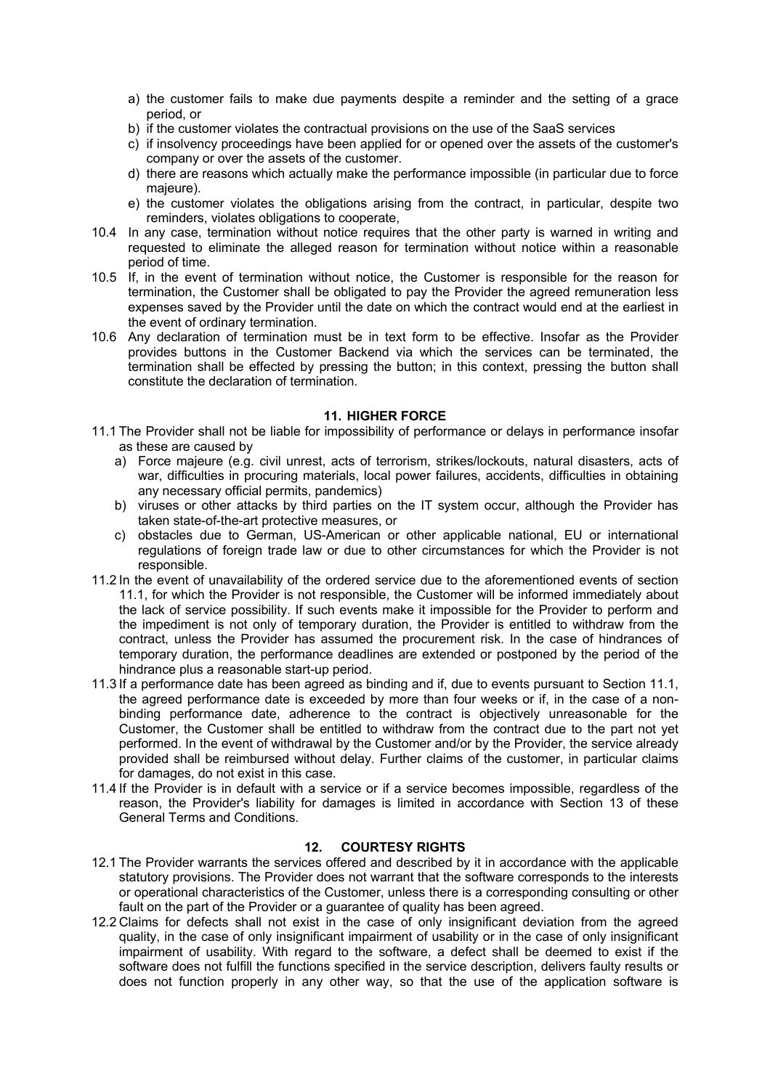- a) the customer fails to make due payments despite a reminder and the setting of a grace period, or
- b) if the customer violates the contractual provisions on the use of the SaaS services
- c) if insolvency proceedings have been applied for or opened over the assets of the customer's company or over the assets of the customer.
- d) there are reasons which actually make the performance impossible (in particular due to force majeure).
- e) the customer violates the obligations arising from the contract, in particular, despite two reminders, violates obligations to cooperate,
- 10.4 In any case, termination without notice requires that the other party is warned in writing and requested to eliminate the alleged reason for termination without notice within a reasonable period of time.
- 10.5 If, in the event of termination without notice, the Customer is responsible for the reason for termination, the Customer shall be obligated to pay the Provider the agreed remuneration less expenses saved by the Provider until the date on which the contract would end at the earliest in the event of ordinary termination.
- 10.6 Any declaration of termination must be in text form to be effective. Insofar as the Provider provides buttons in the Customer Backend via which the services can be terminated, the termination shall be effected by pressing the button; in this context, pressing the button shall constitute the declaration of termination.

#### **11. HIGHER FORCE**

- 11.1 The Provider shall not be liable for impossibility of performance or delays in performance insofar as these are caused by
	- a) Force majeure (e.g. civil unrest, acts of terrorism, strikes/lockouts, natural disasters, acts of war, difficulties in procuring materials, local power failures, accidents, difficulties in obtaining any necessary official permits, pandemics)
	- b) viruses or other attacks by third parties on the IT system occur, although the Provider has taken state-of-the-art protective measures, or
	- c) obstacles due to German, US-American or other applicable national, EU or international regulations of foreign trade law or due to other circumstances for which the Provider is not responsible.
- 11.2 In the event of unavailability of the ordered service due to the aforementioned events of section 11.1, for which the Provider is not responsible, the Customer will be informed immediately about the lack of service possibility. If such events make it impossible for the Provider to perform and the impediment is not only of temporary duration, the Provider is entitled to withdraw from the contract, unless the Provider has assumed the procurement risk. In the case of hindrances of temporary duration, the performance deadlines are extended or postponed by the period of the hindrance plus a reasonable start-up period.
- 11.3 If a performance date has been agreed as binding and if, due to events pursuant to Section 11.1, the agreed performance date is exceeded by more than four weeks or if, in the case of a nonbinding performance date, adherence to the contract is objectively unreasonable for the Customer, the Customer shall be entitled to withdraw from the contract due to the part not yet performed. In the event of withdrawal by the Customer and/or by the Provider, the service already provided shall be reimbursed without delay. Further claims of the customer, in particular claims for damages, do not exist in this case.
- 11.4 If the Provider is in default with a service or if a service becomes impossible, regardless of the reason, the Provider's liability for damages is limited in accordance with Section 13 of these General Terms and Conditions.

## **12. COURTESY RIGHTS**

- 12.1 The Provider warrants the services offered and described by it in accordance with the applicable statutory provisions. The Provider does not warrant that the software corresponds to the interests or operational characteristics of the Customer, unless there is a corresponding consulting or other fault on the part of the Provider or a quarantee of quality has been agreed.
- 12.2 Claims for defects shall not exist in the case of only insignificant deviation from the agreed quality, in the case of only insignificant impairment of usability or in the case of only insignificant impairment of usability. With regard to the software, a defect shall be deemed to exist if the software does not fulfill the functions specified in the service description, delivers faulty results or does not function properly in any other way, so that the use of the application software is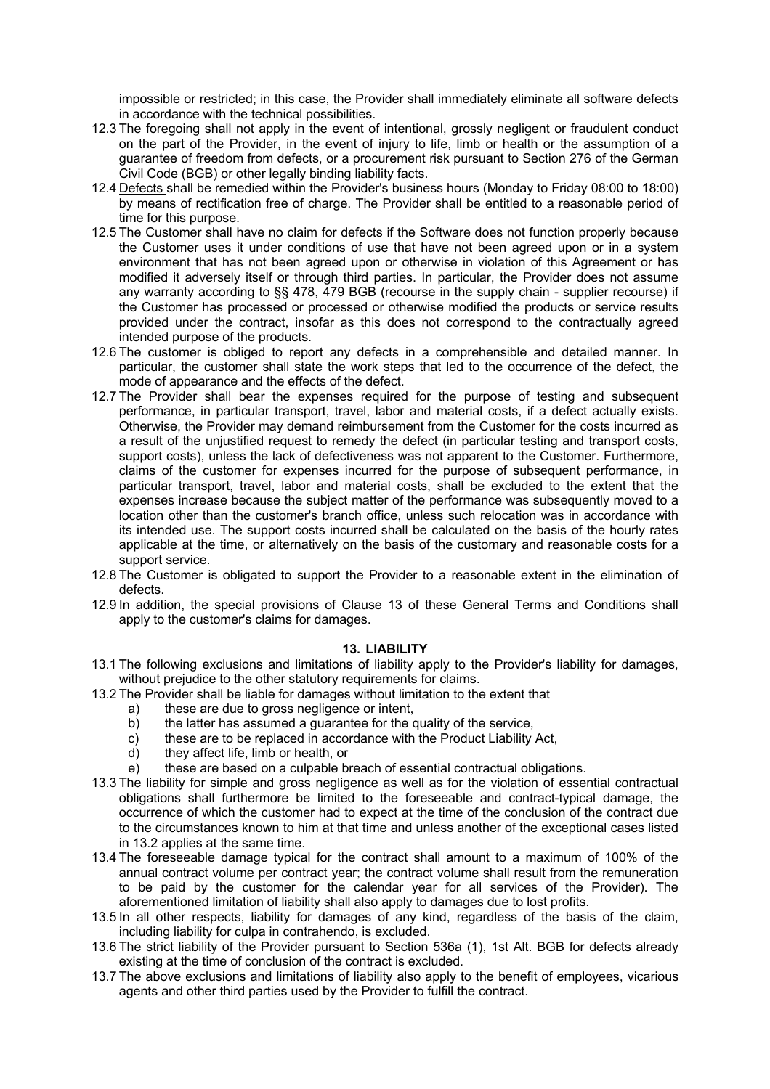impossible or restricted; in this case, the Provider shall immediately eliminate all software defects in accordance with the technical possibilities.

- 12.3 The foregoing shall not apply in the event of intentional, grossly negligent or fraudulent conduct on the part of the Provider, in the event of injury to life, limb or health or the assumption of a guarantee of freedom from defects, or a procurement risk pursuant to Section 276 of the German Civil Code (BGB) or other legally binding liability facts.
- 12.4 Defects shall be remedied within the Provider's business hours (Monday to Friday 08:00 to 18:00) by means of rectification free of charge. The Provider shall be entitled to a reasonable period of time for this purpose.
- 12.5 The Customer shall have no claim for defects if the Software does not function properly because the Customer uses it under conditions of use that have not been agreed upon or in a system environment that has not been agreed upon or otherwise in violation of this Agreement or has modified it adversely itself or through third parties. In particular, the Provider does not assume any warranty according to §§ 478, 479 BGB (recourse in the supply chain - supplier recourse) if the Customer has processed or processed or otherwise modified the products or service results provided under the contract, insofar as this does not correspond to the contractually agreed intended purpose of the products.
- 12.6 The customer is obliged to report any defects in a comprehensible and detailed manner. In particular, the customer shall state the work steps that led to the occurrence of the defect, the mode of appearance and the effects of the defect.
- 12.7 The Provider shall bear the expenses required for the purpose of testing and subsequent performance, in particular transport, travel, labor and material costs, if a defect actually exists. Otherwise, the Provider may demand reimbursement from the Customer for the costs incurred as a result of the unjustified request to remedy the defect (in particular testing and transport costs, support costs), unless the lack of defectiveness was not apparent to the Customer. Furthermore, claims of the customer for expenses incurred for the purpose of subsequent performance, in particular transport, travel, labor and material costs, shall be excluded to the extent that the expenses increase because the subject matter of the performance was subsequently moved to a location other than the customer's branch office, unless such relocation was in accordance with its intended use. The support costs incurred shall be calculated on the basis of the hourly rates applicable at the time, or alternatively on the basis of the customary and reasonable costs for a support service.
- 12.8 The Customer is obligated to support the Provider to a reasonable extent in the elimination of defects.
- 12.9 In addition, the special provisions of Clause 13 of these General Terms and Conditions shall apply to the customer's claims for damages.

#### **13. LIABILITY**

- 13.1 The following exclusions and limitations of liability apply to the Provider's liability for damages, without prejudice to the other statutory requirements for claims.
- 13.2 The Provider shall be liable for damages without limitation to the extent that
	- a) these are due to gross negligence or intent,
	- b) the latter has assumed a guarantee for the quality of the service,
	- c) these are to be replaced in accordance with the Product Liability Act,
	- d) they affect life, limb or health, or
	- e) these are based on a culpable breach of essential contractual obligations.
- 13.3 The liability for simple and gross negligence as well as for the violation of essential contractual obligations shall furthermore be limited to the foreseeable and contract-typical damage, the occurrence of which the customer had to expect at the time of the conclusion of the contract due to the circumstances known to him at that time and unless another of the exceptional cases listed in 13.2 applies at the same time.
- 13.4 The foreseeable damage typical for the contract shall amount to a maximum of 100% of the annual contract volume per contract year; the contract volume shall result from the remuneration to be paid by the customer for the calendar year for all services of the Provider). The aforementioned limitation of liability shall also apply to damages due to lost profits.
- 13.5 In all other respects, liability for damages of any kind, regardless of the basis of the claim, including liability for culpa in contrahendo, is excluded.
- 13.6 The strict liability of the Provider pursuant to Section 536a (1), 1st Alt. BGB for defects already existing at the time of conclusion of the contract is excluded.
- 13.7 The above exclusions and limitations of liability also apply to the benefit of employees, vicarious agents and other third parties used by the Provider to fulfill the contract.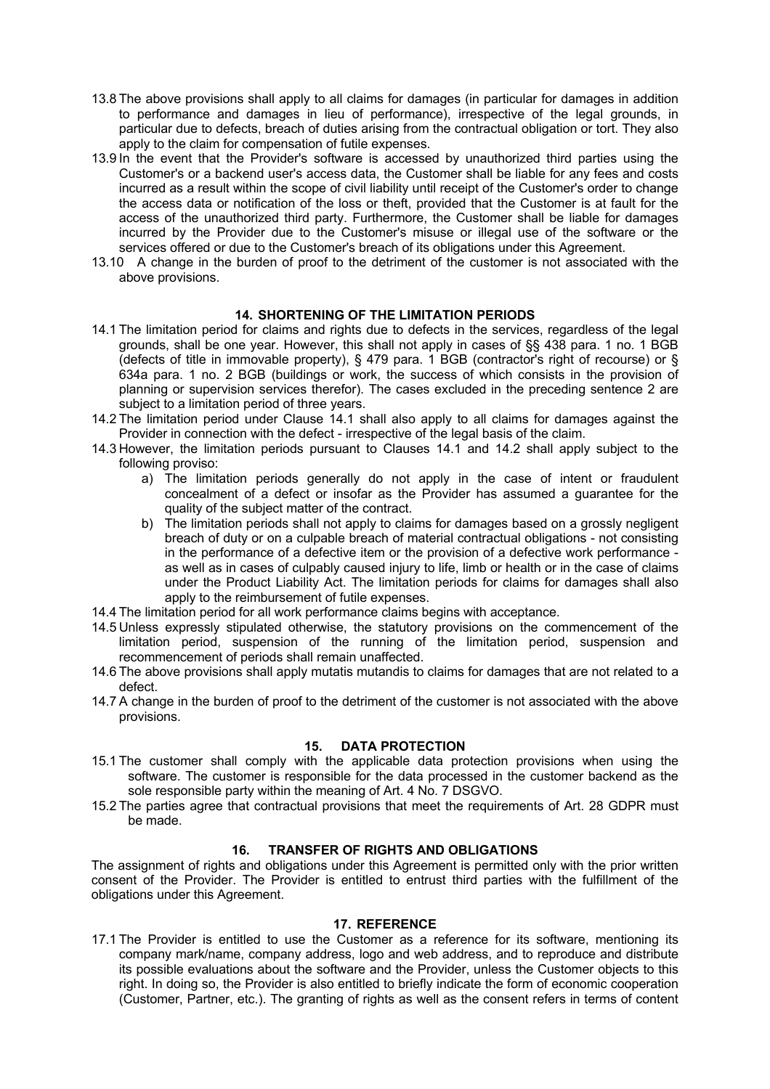- 13.8 The above provisions shall apply to all claims for damages (in particular for damages in addition to performance and damages in lieu of performance), irrespective of the legal grounds, in particular due to defects, breach of duties arising from the contractual obligation or tort. They also apply to the claim for compensation of futile expenses.
- 13.9 In the event that the Provider's software is accessed by unauthorized third parties using the Customer's or a backend user's access data, the Customer shall be liable for any fees and costs incurred as a result within the scope of civil liability until receipt of the Customer's order to change the access data or notification of the loss or theft, provided that the Customer is at fault for the access of the unauthorized third party. Furthermore, the Customer shall be liable for damages incurred by the Provider due to the Customer's misuse or illegal use of the software or the services offered or due to the Customer's breach of its obligations under this Agreement.
- 13.10 A change in the burden of proof to the detriment of the customer is not associated with the above provisions.

#### **14. SHORTENING OF THE LIMITATION PERIODS**

- 14.1 The limitation period for claims and rights due to defects in the services, regardless of the legal grounds, shall be one year. However, this shall not apply in cases of §§ 438 para. 1 no. 1 BGB (defects of title in immovable property), § 479 para. 1 BGB (contractor's right of recourse) or § 634a para. 1 no. 2 BGB (buildings or work, the success of which consists in the provision of planning or supervision services therefor). The cases excluded in the preceding sentence 2 are subject to a limitation period of three years.
- 14.2 The limitation period under Clause 14.1 shall also apply to all claims for damages against the Provider in connection with the defect - irrespective of the legal basis of the claim.
- 14.3 However, the limitation periods pursuant to Clauses 14.1 and 14.2 shall apply subject to the following proviso:
	- a) The limitation periods generally do not apply in the case of intent or fraudulent concealment of a defect or insofar as the Provider has assumed a guarantee for the quality of the subject matter of the contract.
	- b) The limitation periods shall not apply to claims for damages based on a grossly negligent breach of duty or on a culpable breach of material contractual obligations - not consisting in the performance of a defective item or the provision of a defective work performance as well as in cases of culpably caused injury to life, limb or health or in the case of claims under the Product Liability Act. The limitation periods for claims for damages shall also apply to the reimbursement of futile expenses.
- 14.4 The limitation period for all work performance claims begins with acceptance.
- 14.5 Unless expressly stipulated otherwise, the statutory provisions on the commencement of the limitation period, suspension of the running of the limitation period, suspension and recommencement of periods shall remain unaffected.
- 14.6 The above provisions shall apply mutatis mutandis to claims for damages that are not related to a defect.
- 14.7 A change in the burden of proof to the detriment of the customer is not associated with the above provisions.

#### **15. DATA PROTECTION**

- 15.1 The customer shall comply with the applicable data protection provisions when using the software. The customer is responsible for the data processed in the customer backend as the sole responsible party within the meaning of Art. 4 No. 7 DSGVO.
- 15.2 The parties agree that contractual provisions that meet the requirements of Art. 28 GDPR must be made.

#### **16. TRANSFER OF RIGHTS AND OBLIGATIONS**

The assignment of rights and obligations under this Agreement is permitted only with the prior written consent of the Provider. The Provider is entitled to entrust third parties with the fulfillment of the obligations under this Agreement.

#### **17. REFERENCE**

17.1 The Provider is entitled to use the Customer as a reference for its software, mentioning its company mark/name, company address, logo and web address, and to reproduce and distribute its possible evaluations about the software and the Provider, unless the Customer objects to this right. In doing so, the Provider is also entitled to briefly indicate the form of economic cooperation (Customer, Partner, etc.). The granting of rights as well as the consent refers in terms of content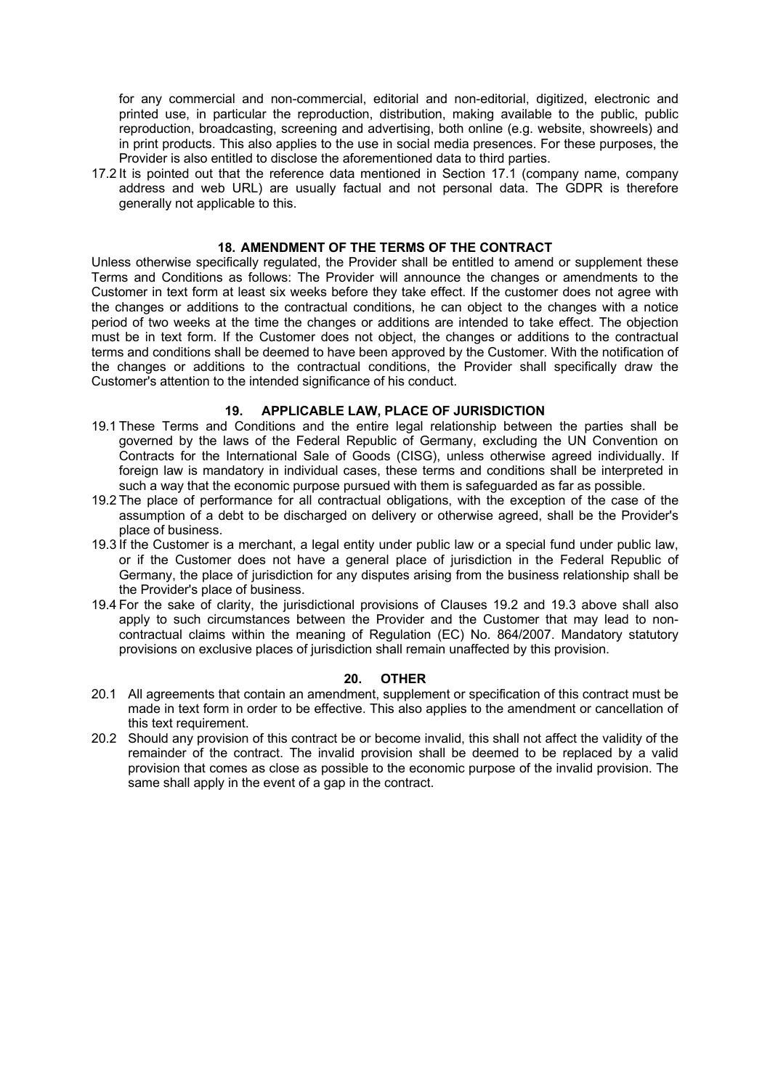for any commercial and non-commercial, editorial and non-editorial, digitized, electronic and printed use, in particular the reproduction, distribution, making available to the public, public reproduction, broadcasting, screening and advertising, both online (e.g. website, showreels) and in print products. This also applies to the use in social media presences. For these purposes, the Provider is also entitled to disclose the aforementioned data to third parties.

17.2 It is pointed out that the reference data mentioned in Section 17.1 (company name, company address and web URL) are usually factual and not personal data. The GDPR is therefore generally not applicable to this.

#### **18. AMENDMENT OF THE TERMS OF THE CONTRACT**

Unless otherwise specifically regulated, the Provider shall be entitled to amend or supplement these Terms and Conditions as follows: The Provider will announce the changes or amendments to the Customer in text form at least six weeks before they take effect. If the customer does not agree with the changes or additions to the contractual conditions, he can object to the changes with a notice period of two weeks at the time the changes or additions are intended to take effect. The objection must be in text form. If the Customer does not object, the changes or additions to the contractual terms and conditions shall be deemed to have been approved by the Customer. With the notification of the changes or additions to the contractual conditions, the Provider shall specifically draw the Customer's attention to the intended significance of his conduct.

#### **19. APPLICABLE LAW, PLACE OF JURISDICTION**

- 19.1 These Terms and Conditions and the entire legal relationship between the parties shall be governed by the laws of the Federal Republic of Germany, excluding the UN Convention on Contracts for the International Sale of Goods (CISG), unless otherwise agreed individually. If foreign law is mandatory in individual cases, these terms and conditions shall be interpreted in such a way that the economic purpose pursued with them is safeguarded as far as possible.
- 19.2 The place of performance for all contractual obligations, with the exception of the case of the assumption of a debt to be discharged on delivery or otherwise agreed, shall be the Provider's place of business.
- 19.3 If the Customer is a merchant, a legal entity under public law or a special fund under public law, or if the Customer does not have a general place of jurisdiction in the Federal Republic of Germany, the place of jurisdiction for any disputes arising from the business relationship shall be the Provider's place of business.
- 19.4 For the sake of clarity, the jurisdictional provisions of Clauses 19.2 and 19.3 above shall also apply to such circumstances between the Provider and the Customer that may lead to noncontractual claims within the meaning of Regulation (EC) No. 864/2007. Mandatory statutory provisions on exclusive places of jurisdiction shall remain unaffected by this provision.

#### **20. OTHER**

- 20.1 All agreements that contain an amendment, supplement or specification of this contract must be made in text form in order to be effective. This also applies to the amendment or cancellation of this text requirement.
- 20.2 Should any provision of this contract be or become invalid, this shall not affect the validity of the remainder of the contract. The invalid provision shall be deemed to be replaced by a valid provision that comes as close as possible to the economic purpose of the invalid provision. The same shall apply in the event of a gap in the contract.